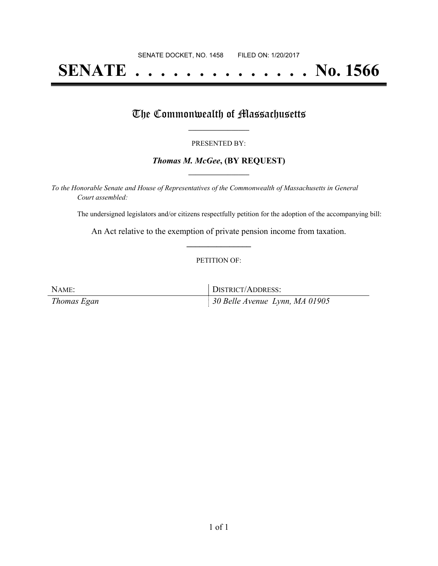# **SENATE . . . . . . . . . . . . . . No. 1566**

## The Commonwealth of Massachusetts

#### PRESENTED BY:

#### *Thomas M. McGee***, (BY REQUEST) \_\_\_\_\_\_\_\_\_\_\_\_\_\_\_\_\_**

*To the Honorable Senate and House of Representatives of the Commonwealth of Massachusetts in General Court assembled:*

The undersigned legislators and/or citizens respectfully petition for the adoption of the accompanying bill:

An Act relative to the exemption of private pension income from taxation. **\_\_\_\_\_\_\_\_\_\_\_\_\_\_\_**

#### PETITION OF:

| NAME:       | DISTRICT/ADDRESS:                          |
|-------------|--------------------------------------------|
| Thomas Egan | $\parallel$ 30 Belle Avenue Lynn, MA 01905 |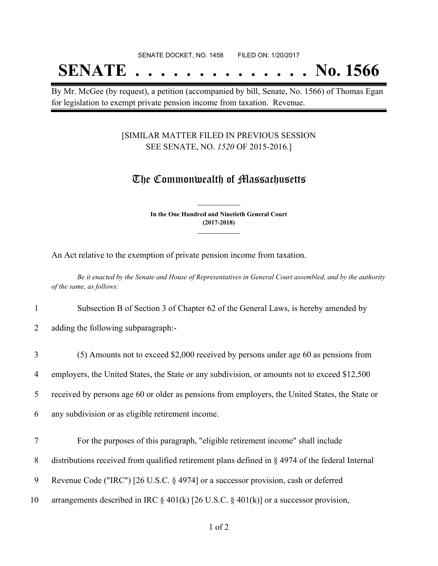## SENATE DOCKET, NO. 1458 FILED ON: 1/20/2017 **SENATE . . . . . . . . . . . . . . No. 1566**

By Mr. McGee (by request), a petition (accompanied by bill, Senate, No. 1566) of Thomas Egan for legislation to exempt private pension income from taxation. Revenue.

### [SIMILAR MATTER FILED IN PREVIOUS SESSION SEE SENATE, NO. *1520* OF 2015-2016.]

## The Commonwealth of Massachusetts

**In the One Hundred and Ninetieth General Court (2017-2018) \_\_\_\_\_\_\_\_\_\_\_\_\_\_\_**

**\_\_\_\_\_\_\_\_\_\_\_\_\_\_\_**

An Act relative to the exemption of private pension income from taxation.

Be it enacted by the Senate and House of Representatives in General Court assembled, and by the authority *of the same, as follows:*

1 Subsection B of Section 3 of Chapter 62 of the General Laws, is hereby amended by

2 adding the following subparagraph:-

- 3 (5) Amounts not to exceed \$2,000 received by persons under age 60 as pensions from 4 employers, the United States, the State or any subdivision, or amounts not to exceed \$12,500 5 received by persons age 60 or older as pensions from employers, the United States, the State or 6 any subdivision or as eligible retirement income. 7 For the purposes of this paragraph, "eligible retirement income" shall include 8 distributions received from qualified retirement plans defined in § 4974 of the federal Internal
- 9 Revenue Code ("IRC") [26 U.S.C. § 4974] or a successor provision, cash or deferred
- 10 arrangements described in IRC  $\S 401(k)$  [26 U.S.C.  $\S 401(k)$ ] or a successor provision,